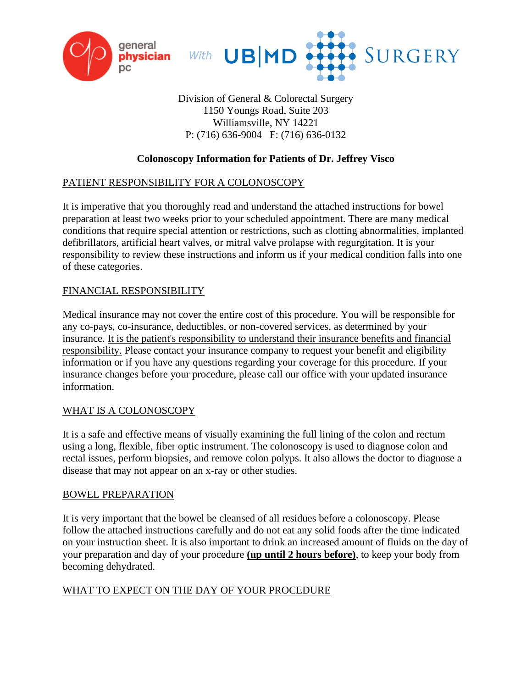



Division of General & Colorectal Surgery 1150 Youngs Road, Suite 203 Williamsville, NY 14221 P: (716) 636-9004 F: (716) 636-0132

# **Colonoscopy Information for Patients of Dr. Jeffrey Visco**

### PATIENT RESPONSIBILITY FOR A COLONOSCOPY

It is imperative that you thoroughly read and understand the attached instructions for bowel preparation at least two weeks prior to your scheduled appointment. There are many medical conditions that require special attention or restrictions, such as clotting abnormalities, implanted defibrillators, artificial heart valves, or mitral valve prolapse with regurgitation. It is your responsibility to review these instructions and inform us if your medical condition falls into one of these categories.

### FINANCIAL RESPONSIBILITY

Medical insurance may not cover the entire cost of this procedure. You will be responsible for any co-pays, co-insurance, deductibles, or non-covered services, as determined by your insurance. It is the patient's responsibility to understand their insurance benefits and financial responsibility. Please contact your insurance company to request your benefit and eligibility information or if you have any questions regarding your coverage for this procedure. If your insurance changes before your procedure, please call our office with your updated insurance information.

### WHAT IS A COLONOSCOPY

It is a safe and effective means of visually examining the full lining of the colon and rectum using a long, flexible, fiber optic instrument. The colonoscopy is used to diagnose colon and rectal issues, perform biopsies, and remove colon polyps. It also allows the doctor to diagnose a disease that may not appear on an x-ray or other studies.

### BOWEL PREPARATION

It is very important that the bowel be cleansed of all residues before a colonoscopy. Please follow the attached instructions carefully and do not eat any solid foods after the time indicated on your instruction sheet. It is also important to drink an increased amount of fluids on the day of your preparation and day of your procedure **(up until 2 hours before)**, to keep your body from becoming dehydrated.

### WHAT TO EXPECT ON THE DAY OF YOUR PROCEDURE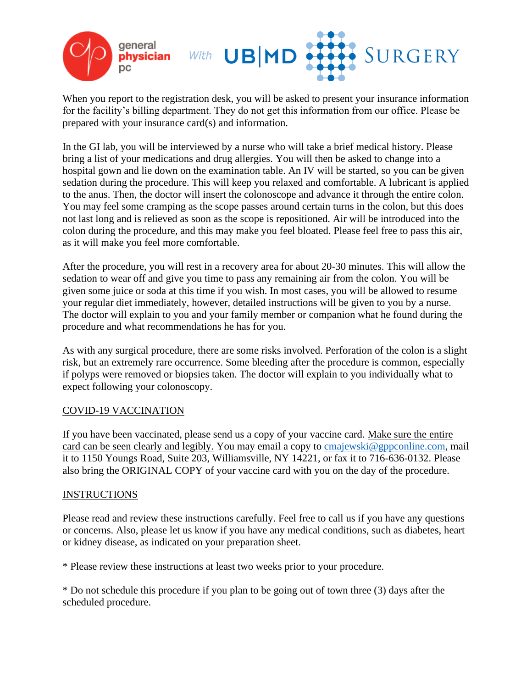

When you report to the registration desk, you will be asked to present your insurance information for the facility's billing department. They do not get this information from our office. Please be prepared with your insurance card(s) and information.

In the GI lab, you will be interviewed by a nurse who will take a brief medical history. Please bring a list of your medications and drug allergies. You will then be asked to change into a hospital gown and lie down on the examination table. An IV will be started, so you can be given sedation during the procedure. This will keep you relaxed and comfortable. A lubricant is applied to the anus. Then, the doctor will insert the colonoscope and advance it through the entire colon. You may feel some cramping as the scope passes around certain turns in the colon, but this does not last long and is relieved as soon as the scope is repositioned. Air will be introduced into the colon during the procedure, and this may make you feel bloated. Please feel free to pass this air, as it will make you feel more comfortable.

After the procedure, you will rest in a recovery area for about 20-30 minutes. This will allow the sedation to wear off and give you time to pass any remaining air from the colon. You will be given some juice or soda at this time if you wish. In most cases, you will be allowed to resume your regular diet immediately, however, detailed instructions will be given to you by a nurse. The doctor will explain to you and your family member or companion what he found during the procedure and what recommendations he has for you.

As with any surgical procedure, there are some risks involved. Perforation of the colon is a slight risk, but an extremely rare occurrence. Some bleeding after the procedure is common, especially if polyps were removed or biopsies taken. The doctor will explain to you individually what to expect following your colonoscopy.

### COVID-19 VACCINATION

If you have been vaccinated, please send us a copy of your vaccine card. Make sure the entire card can be seen clearly and legibly. You may email a copy to [cmajewski@gppconline.com,](mailto:cmajewski@gppconline.com) mail it to 1150 Youngs Road, Suite 203, Williamsville, NY 14221, or fax it to 716-636-0132. Please also bring the ORIGINAL COPY of your vaccine card with you on the day of the procedure.

### INSTRUCTIONS

Please read and review these instructions carefully. Feel free to call us if you have any questions or concerns. Also, please let us know if you have any medical conditions, such as diabetes, heart or kidney disease, as indicated on your preparation sheet.

\* Please review these instructions at least two weeks prior to your procedure.

\* Do not schedule this procedure if you plan to be going out of town three (3) days after the scheduled procedure.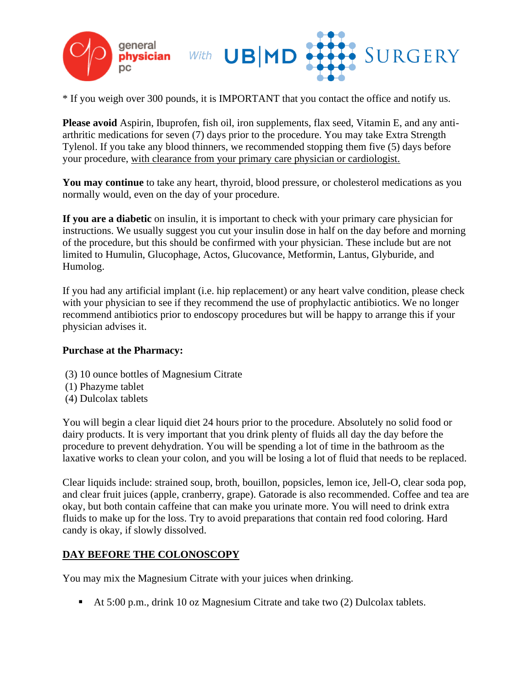

\* If you weigh over 300 pounds, it is IMPORTANT that you contact the office and notify us.

**Please avoid** Aspirin, Ibuprofen, fish oil, iron supplements, flax seed, Vitamin E, and any antiarthritic medications for seven (7) days prior to the procedure. You may take Extra Strength Tylenol. If you take any blood thinners, we recommended stopping them five (5) days before your procedure, with clearance from your primary care physician or cardiologist.

**You may continue** to take any heart, thyroid, blood pressure, or cholesterol medications as you normally would, even on the day of your procedure.

**If you are a diabetic** on insulin, it is important to check with your primary care physician for instructions. We usually suggest you cut your insulin dose in half on the day before and morning of the procedure, but this should be confirmed with your physician. These include but are not limited to Humulin, Glucophage, Actos, Glucovance, Metformin, Lantus, Glyburide, and Humolog.

If you had any artificial implant (i.e. hip replacement) or any heart valve condition, please check with your physician to see if they recommend the use of prophylactic antibiotics. We no longer recommend antibiotics prior to endoscopy procedures but will be happy to arrange this if your physician advises it.

#### **Purchase at the Pharmacy:**

- (3) 10 ounce bottles of Magnesium Citrate
- (1) Phazyme tablet
- (4) Dulcolax tablets

You will begin a clear liquid diet 24 hours prior to the procedure. Absolutely no solid food or dairy products. It is very important that you drink plenty of fluids all day the day before the procedure to prevent dehydration. You will be spending a lot of time in the bathroom as the laxative works to clean your colon, and you will be losing a lot of fluid that needs to be replaced.

Clear liquids include: strained soup, broth, bouillon, popsicles, lemon ice, Jell-O, clear soda pop, and clear fruit juices (apple, cranberry, grape). Gatorade is also recommended. Coffee and tea are okay, but both contain caffeine that can make you urinate more. You will need to drink extra fluids to make up for the loss. Try to avoid preparations that contain red food coloring. Hard candy is okay, if slowly dissolved.

# **DAY BEFORE THE COLONOSCOPY**

You may mix the Magnesium Citrate with your juices when drinking.

■ At 5:00 p.m., drink 10 oz Magnesium Citrate and take two (2) Dulcolax tablets.